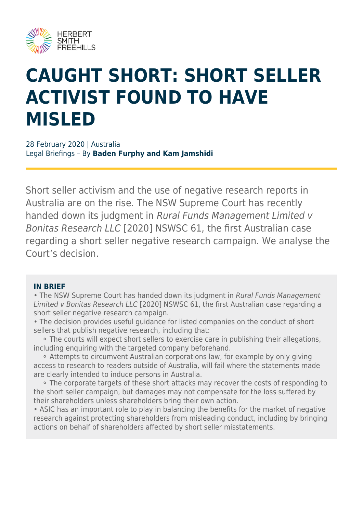

# **CAUGHT SHORT: SHORT SELLER ACTIVIST FOUND TO HAVE MISLED**

28 February 2020 | Australia Legal Briefings – By **Baden Furphy and Kam Jamshidi**

Short seller activism and the use of negative research reports in Australia are on the rise. The NSW Supreme Court has recently handed down its judgment in Rural Funds Management Limited v Bonitas Research LLC [2020] NSWSC 61, the first Australian case regarding a short seller negative research campaign. We analyse the Court's decision.

#### **IN BRIEF**

• The NSW Supreme Court has handed down its judgment in Rural Funds Management Limited v Bonitas Research LLC [2020] NSWSC 61, the first Australian case regarding a short seller negative research campaign.

• The decision provides useful guidance for listed companies on the conduct of short sellers that publish negative research, including that:

 ⚬ The courts will expect short sellers to exercise care in publishing their allegations, including enquiring with the targeted company beforehand.

 ⚬ Attempts to circumvent Australian corporations law, for example by only giving access to research to readers outside of Australia, will fail where the statements made are clearly intended to induce persons in Australia.

 ⚬ The corporate targets of these short attacks may recover the costs of responding to the short seller campaign, but damages may not compensate for the loss suffered by their shareholders unless shareholders bring their own action.

• ASIC has an important role to play in balancing the benefits for the market of negative research against protecting shareholders from misleading conduct, including by bringing actions on behalf of shareholders affected by short seller misstatements.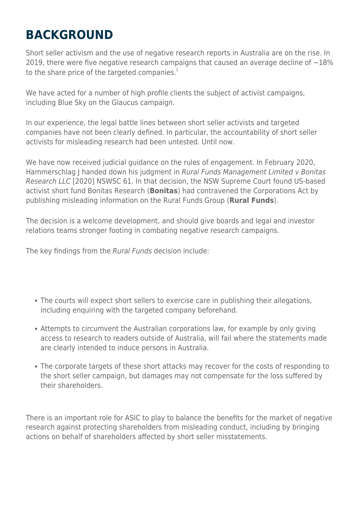# **BACKGROUND**

Short seller activism and the use of negative research reports in Australia are on the rise. In 2019, there were five negative research campaigns that caused an average decline of  $\sim$ 18% to the share price of the targeted companies. $1$ 

We have acted for a number of high profile clients the subject of activist campaigns, including Blue Sky on the Glaucus campaign.

In our experience, the legal battle lines between short seller activists and targeted companies have not been clearly defined. In particular, the accountability of short seller activists for misleading research had been untested. Until now.

We have now received judicial guidance on the rules of engagement. In February 2020, Hammerschlag J handed down his judgment in Rural Funds Management Limited v Bonitas Research LLC [2020] NSWSC 61. In that decision, the NSW Supreme Court found US-based activist short fund Bonitas Research (**Bonitas**) had contravened the Corporations Act by publishing misleading information on the Rural Funds Group (**Rural Funds**).

The decision is a welcome development, and should give boards and legal and investor relations teams stronger footing in combating negative research campaigns.

The key findings from the Rural Funds decision include:

- The courts will expect short sellers to exercise care in publishing their allegations, including enquiring with the targeted company beforehand.
- Attempts to circumvent the Australian corporations law, for example by only giving access to research to readers outside of Australia, will fail where the statements made are clearly intended to induce persons in Australia.
- The corporate targets of these short attacks may recover for the costs of responding to the short seller campaign, but damages may not compensate for the loss suffered by their shareholders.

There is an important role for ASIC to play to balance the benefits for the market of negative research against protecting shareholders from misleading conduct, including by bringing actions on behalf of shareholders affected by short seller misstatements.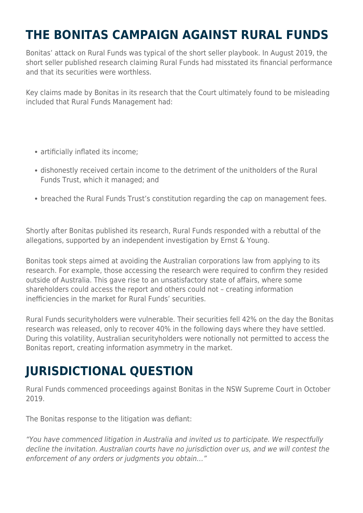# **THE BONITAS CAMPAIGN AGAINST RURAL FUNDS**

Bonitas' attack on Rural Funds was typical of the short seller playbook. In August 2019, the short seller published research claiming Rural Funds had misstated its financial performance and that its securities were worthless.

Key claims made by Bonitas in its research that the Court ultimately found to be misleading included that Rural Funds Management had:

- artificially inflated its income;
- dishonestly received certain income to the detriment of the unitholders of the Rural Funds Trust, which it managed; and
- breached the Rural Funds Trust's constitution regarding the cap on management fees.

Shortly after Bonitas published its research, Rural Funds responded with a rebuttal of the allegations, supported by an independent investigation by Ernst & Young.

Bonitas took steps aimed at avoiding the Australian corporations law from applying to its research. For example, those accessing the research were required to confirm they resided outside of Australia. This gave rise to an unsatisfactory state of affairs, where some shareholders could access the report and others could not – creating information inefficiencies in the market for Rural Funds' securities.

Rural Funds securityholders were vulnerable. Their securities fell 42% on the day the Bonitas research was released, only to recover 40% in the following days where they have settled. During this volatility, Australian securityholders were notionally not permitted to access the Bonitas report, creating information asymmetry in the market.

# **JURISDICTIONAL QUESTION**

Rural Funds commenced proceedings against Bonitas in the NSW Supreme Court in October 2019.

The Bonitas response to the litigation was defiant:

"You have commenced litigation in Australia and invited us to participate. We respectfully decline the invitation. Australian courts have no jurisdiction over us, and we will contest the enforcement of any orders or judgments you obtain…"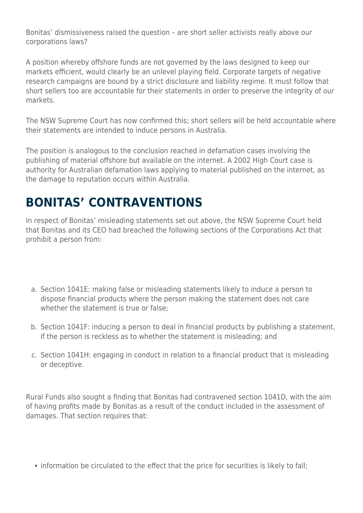Bonitas' dismissiveness raised the question – are short seller activists really above our corporations laws?

A position whereby offshore funds are not governed by the laws designed to keep our markets efficient, would clearly be an unlevel playing field. Corporate targets of negative research campaigns are bound by a strict disclosure and liability regime. It must follow that short sellers too are accountable for their statements in order to preserve the integrity of our markets.

The NSW Supreme Court has now confirmed this; short sellers will be held accountable where their statements are intended to induce persons in Australia.

The position is analogous to the conclusion reached in defamation cases involving the publishing of material offshore but available on the internet. A 2002 High Court case is authority for Australian defamation laws applying to material published on the internet, as the damage to reputation occurs within Australia.

### **BONITAS' CONTRAVENTIONS**

In respect of Bonitas' misleading statements set out above, the NSW Supreme Court held that Bonitas and its CEO had breached the following sections of the Corporations Act that prohibit a person from:

- a. Section 1041E: making false or misleading statements likely to induce a person to dispose financial products where the person making the statement does not care whether the statement is true or false;
- b. Section 1041F: inducing a person to deal in financial products by publishing a statement, if the person is reckless as to whether the statement is misleading; and
- c. Section 1041H: engaging in conduct in relation to a financial product that is misleading or deceptive.

Rural Funds also sought a finding that Bonitas had contravened section 1041D, with the aim of having profits made by Bonitas as a result of the conduct included in the assessment of damages. That section requires that:

information be circulated to the effect that the price for securities is likely to fall;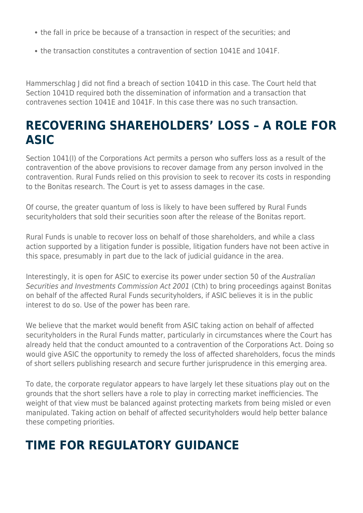- the fall in price be because of a transaction in respect of the securities; and
- the transaction constitutes a contravention of section 1041E and 1041F.

Hammerschlag J did not find a breach of section 1041D in this case. The Court held that Section 1041D required both the dissemination of information and a transaction that contravenes section 1041E and 1041F. In this case there was no such transaction.

#### **RECOVERING SHAREHOLDERS' LOSS – A ROLE FOR ASIC**

Section 1041(I) of the Corporations Act permits a person who suffers loss as a result of the contravention of the above provisions to recover damage from any person involved in the contravention. Rural Funds relied on this provision to seek to recover its costs in responding to the Bonitas research. The Court is yet to assess damages in the case.

Of course, the greater quantum of loss is likely to have been suffered by Rural Funds securityholders that sold their securities soon after the release of the Bonitas report.

Rural Funds is unable to recover loss on behalf of those shareholders, and while a class action supported by a litigation funder is possible, litigation funders have not been active in this space, presumably in part due to the lack of judicial guidance in the area.

Interestingly, it is open for ASIC to exercise its power under section 50 of the Australian Securities and Investments Commission Act 2001 (Cth) to bring proceedings against Bonitas on behalf of the affected Rural Funds securityholders, if ASIC believes it is in the public interest to do so. Use of the power has been rare.

We believe that the market would benefit from ASIC taking action on behalf of affected securityholders in the Rural Funds matter, particularly in circumstances where the Court has already held that the conduct amounted to a contravention of the Corporations Act. Doing so would give ASIC the opportunity to remedy the loss of affected shareholders, focus the minds of short sellers publishing research and secure further jurisprudence in this emerging area.

To date, the corporate regulator appears to have largely let these situations play out on the grounds that the short sellers have a role to play in correcting market inefficiencies. The weight of that view must be balanced against protecting markets from being misled or even manipulated. Taking action on behalf of affected securityholders would help better balance these competing priorities.

# **TIME FOR REGULATORY GUIDANCE**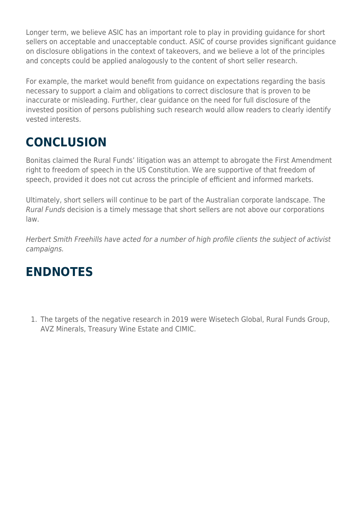Longer term, we believe ASIC has an important role to play in providing guidance for short sellers on acceptable and unacceptable conduct. ASIC of course provides significant guidance on disclosure obligations in the context of takeovers, and we believe a lot of the principles and concepts could be applied analogously to the content of short seller research.

For example, the market would benefit from guidance on expectations regarding the basis necessary to support a claim and obligations to correct disclosure that is proven to be inaccurate or misleading. Further, clear guidance on the need for full disclosure of the invested position of persons publishing such research would allow readers to clearly identify vested interests.

# **CONCLUSION**

Bonitas claimed the Rural Funds' litigation was an attempt to abrogate the First Amendment right to freedom of speech in the US Constitution. We are supportive of that freedom of speech, provided it does not cut across the principle of efficient and informed markets.

Ultimately, short sellers will continue to be part of the Australian corporate landscape. The Rural Funds decision is a timely message that short sellers are not above our corporations law.

Herbert Smith Freehills have acted for a number of high profile clients the subject of activist campaigns.

#### **ENDNOTES**

1. The targets of the negative research in 2019 were Wisetech Global, Rural Funds Group, AVZ Minerals, Treasury Wine Estate and CIMIC.